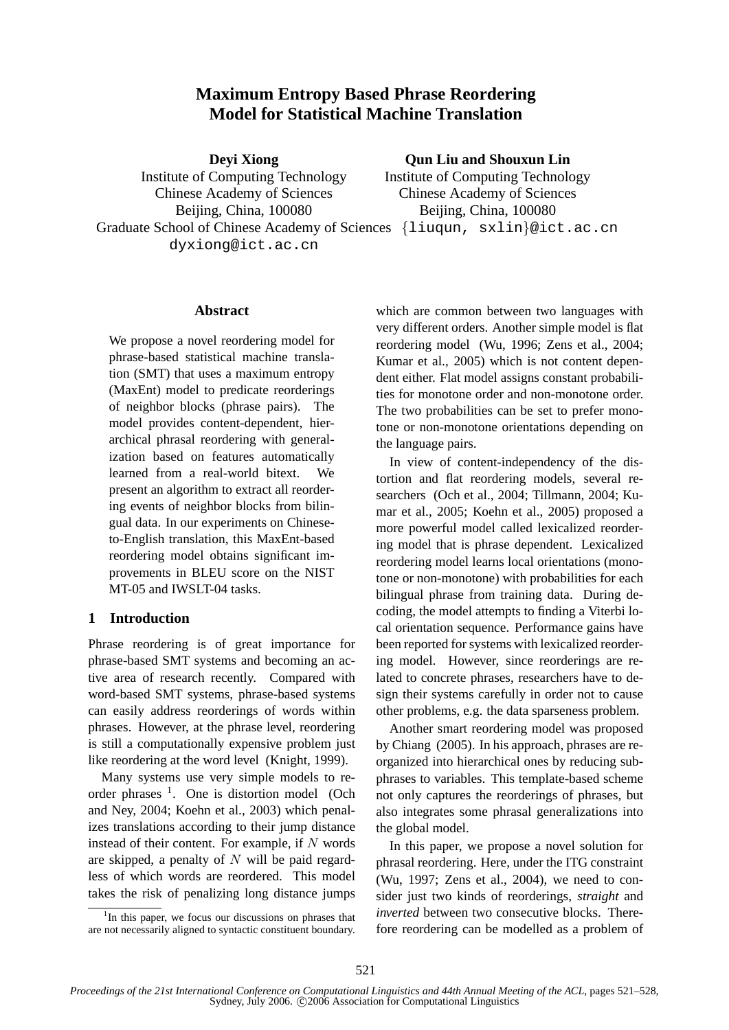# **Maximum Entropy Based Phrase Reordering Model for Statistical Machine Translation**

**Deyi Xiong**

Institute of Computing Technology Chinese Academy of Sciences Beijing, China, 100080 Graduate School of Chinese Academy of Sciences {liuqun, sxlin}@ict.ac.cn dyxiong@ict.ac.cn

# **Qun Liu and Shouxun Lin**

Institute of Computing Technology Chinese Academy of Sciences Beijing, China, 100080

### **Abstract**

We propose a novel reordering model for phrase-based statistical machine translation (SMT) that uses a maximum entropy (MaxEnt) model to predicate reorderings of neighbor blocks (phrase pairs). The model provides content-dependent, hierarchical phrasal reordering with generalization based on features automatically learned from a real-world bitext. We present an algorithm to extract all reordering events of neighbor blocks from bilingual data. In our experiments on Chineseto-English translation, this MaxEnt-based reordering model obtains significant improvements in BLEU score on the NIST MT-05 and IWSLT-04 tasks.

# **1 Introduction**

Phrase reordering is of great importance for phrase-based SMT systems and becoming an active area of research recently. Compared with word-based SMT systems, phrase-based systems can easily address reorderings of words within phrases. However, at the phrase level, reordering is still a computationally expensive problem just like reordering at the word level (Knight, 1999).

Many systems use very simple models to reorder phrases <sup>1</sup>. One is distortion model (Och and Ney, 2004; Koehn et al., 2003) which penalizes translations according to their jump distance instead of their content. For example, if  $N$  words are skipped, a penalty of  $N$  will be paid regardless of which words are reordered. This model takes the risk of penalizing long distance jumps

which are common between two languages with very different orders. Another simple model is flat reordering model (Wu, 1996; Zens et al., 2004; Kumar et al., 2005) which is not content dependent either. Flat model assigns constant probabilities for monotone order and non-monotone order. The two probabilities can be set to prefer monotone or non-monotone orientations depending on the language pairs.

In view of content-independency of the distortion and flat reordering models, several researchers (Och et al., 2004; Tillmann, 2004; Kumar et al., 2005; Koehn et al., 2005) proposed a more powerful model called lexicalized reordering model that is phrase dependent. Lexicalized reordering model learns local orientations (monotone or non-monotone) with probabilities for each bilingual phrase from training data. During decoding, the model attempts to finding a Viterbi local orientation sequence. Performance gains have been reported for systems with lexicalized reordering model. However, since reorderings are related to concrete phrases, researchers have to design their systems carefully in order not to cause other problems, e.g. the data sparseness problem.

Another smart reordering model was proposed by Chiang (2005). In his approach, phrases are reorganized into hierarchical ones by reducing subphrases to variables. This template-based scheme not only captures the reorderings of phrases, but also integrates some phrasal generalizations into the global model.

In this paper, we propose a novel solution for phrasal reordering. Here, under the ITG constraint (Wu, 1997; Zens et al., 2004), we need to consider just two kinds of reorderings, *straight* and *inverted* between two consecutive blocks. Therefore reordering can be modelled as a problem of

<sup>&</sup>lt;sup>1</sup>In this paper, we focus our discussions on phrases that are not necessarily aligned to syntactic constituent boundary.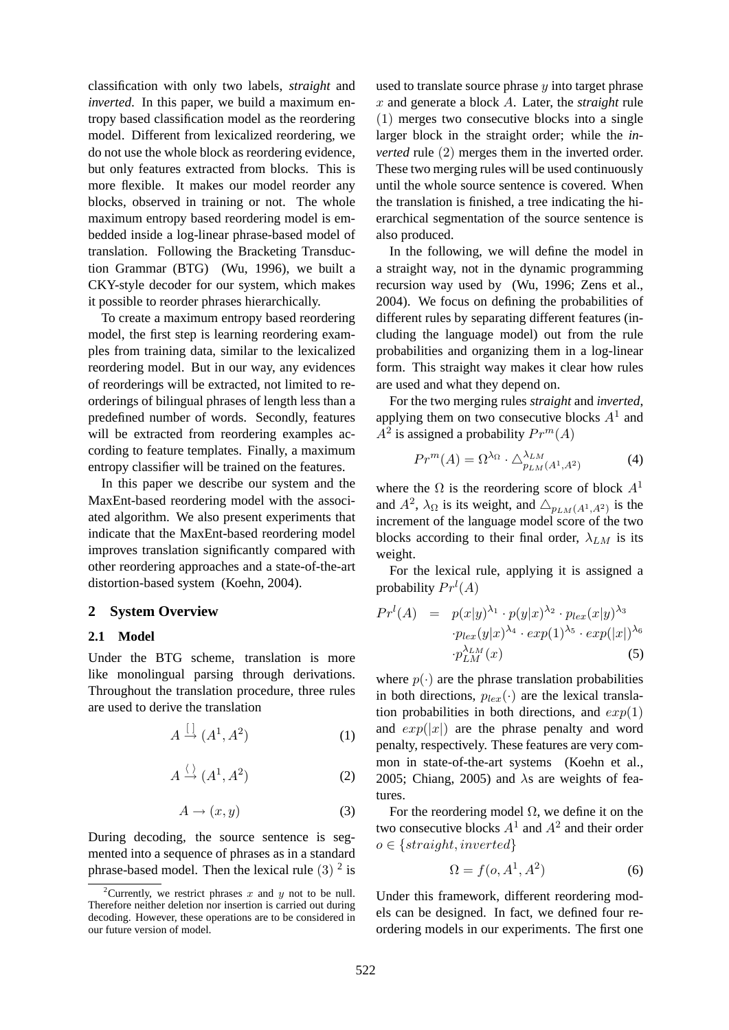classification with only two labels, *straight* and *inverted*. In this paper, we build a maximum entropy based classification model as the reordering model. Different from lexicalized reordering, we do not use the whole block as reordering evidence, but only features extracted from blocks. This is more flexible. It makes our model reorder any blocks, observed in training or not. The whole maximum entropy based reordering model is embedded inside a log-linear phrase-based model of translation. Following the Bracketing Transduction Grammar (BTG) (Wu, 1996), we built a CKY-style decoder for our system, which makes it possible to reorder phrases hierarchically.

To create a maximum entropy based reordering model, the first step is learning reordering examples from training data, similar to the lexicalized reordering model. But in our way, any evidences of reorderings will be extracted, not limited to reorderings of bilingual phrases of length less than a predefined number of words. Secondly, features will be extracted from reordering examples according to feature templates. Finally, a maximum entropy classifier will be trained on the features.

In this paper we describe our system and the MaxEnt-based reordering model with the associated algorithm. We also present experiments that indicate that the MaxEnt-based reordering model improves translation significantly compared with other reordering approaches and a state-of-the-art distortion-based system (Koehn, 2004).

#### **2 System Overview**

#### **2.1 Model**

Under the BTG scheme, translation is more like monolingual parsing through derivations. Throughout the translation procedure, three rules are used to derive the translation

$$
A \stackrel{[]}{\rightarrow} (A^1, A^2) \tag{1}
$$

$$
A \xrightarrow{\langle} (A^1, A^2) \tag{2}
$$

$$
A \to (x, y) \tag{3}
$$

During decoding, the source sentence is segmented into a sequence of phrases as in a standard phrase-based model. Then the lexical rule  $(3)$ <sup>2</sup> is

used to translate source phrase  $y$  into target phrase x and generate a block A. Later, the *straight* rule (1) merges two consecutive blocks into a single larger block in the straight order; while the *inverted* rule (2) merges them in the inverted order. These two merging rules will be used continuously until the whole source sentence is covered. When the translation is finished, a tree indicating the hierarchical segmentation of the source sentence is also produced.

In the following, we will define the model in a straight way, not in the dynamic programming recursion way used by (Wu, 1996; Zens et al., 2004). We focus on defining the probabilities of different rules by separating different features (including the language model) out from the rule probabilities and organizing them in a log-linear form. This straight way makes it clear how rules are used and what they depend on.

For the two merging rules *straight* and *inverted*, applying them on two consecutive blocks  $A<sup>1</sup>$  and  $A^2$  is assigned a probability  $Pr^m(A)$ 

$$
Pr^{m}(A) = \Omega^{\lambda_{\Omega}} \cdot \Delta^{\lambda_{LM}}_{p_{LM}(A^{1}, A^{2})}
$$
 (4)

where the  $\Omega$  is the reordering score of block  $A<sup>1</sup>$ and  $A^2$ ,  $\lambda_{\Omega}$  is its weight, and  $\Delta_{p_{LM}(A^1, A^2)}$  is the increment of the language model score of the two blocks according to their final order,  $\lambda_{LM}$  is its weight.

For the lexical rule, applying it is assigned a probability  $Pr<sup>l</sup>(A)$ 

$$
Prl(A) = p(x|y)^{\lambda_1} \cdot p(y|x)^{\lambda_2} \cdot p_{lex}(x|y)^{\lambda_3}
$$

$$
\cdot p_{lex}(y|x)^{\lambda_4} \cdot exp(1)^{\lambda_5} \cdot exp(|x|)^{\lambda_6}
$$

$$
\cdot p_{LM}^{\lambda_{LM}}(x)
$$
(5)

where  $p(\cdot)$  are the phrase translation probabilities in both directions,  $p_{lex}(\cdot)$  are the lexical translation probabilities in both directions, and  $exp(1)$ and  $exp(|x|)$  are the phrase penalty and word penalty, respectively. These features are very common in state-of-the-art systems (Koehn et al., 2005; Chiang, 2005) and  $\lambda$ s are weights of features.

For the reordering model  $\Omega$ , we define it on the two consecutive blocks  $A^1$  and  $A^2$  and their order  $o \in \{straight, inverted\}$ 

$$
\Omega = f(o, A^1, A^2) \tag{6}
$$

Under this framework, different reordering models can be designed. In fact, we defined four reordering models in our experiments. The first one

<sup>&</sup>lt;sup>2</sup>Currently, we restrict phrases x and y not to be null. Therefore neither deletion nor insertion is carried out during decoding. However, these operations are to be considered in our future version of model.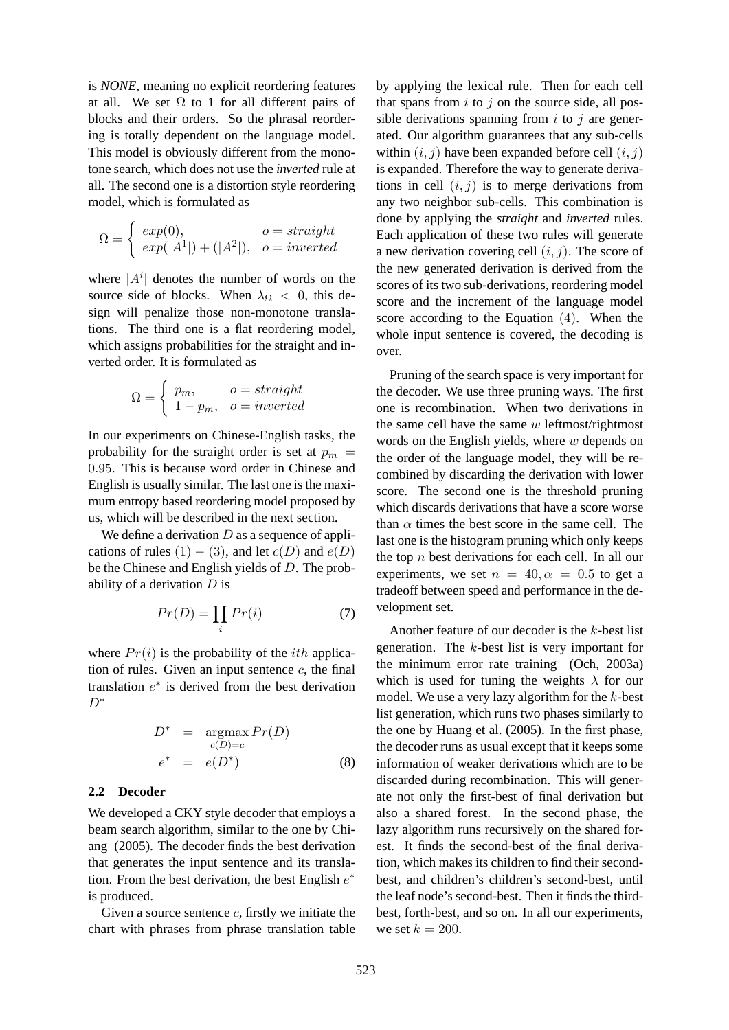is *NONE*, meaning no explicit reordering features at all. We set  $\Omega$  to 1 for all different pairs of blocks and their orders. So the phrasal reordering is totally dependent on the language model. This model is obviously different from the monotone search, which does not use the *inverted* rule at all. The second one is a distortion style reordering model, which is formulated as

$$
\Omega = \begin{cases} exp(0), & o = straight \\ exp(|A^1|) + (|A^2|), & o = inverted \end{cases}
$$

where  $|A^i|$  denotes the number of words on the source side of blocks. When  $\lambda_{\Omega} < 0$ , this design will penalize those non-monotone translations. The third one is a flat reordering model, which assigns probabilities for the straight and inverted order. It is formulated as

$$
\Omega = \begin{cases} p_m, & o = straight \\ 1 - p_m, & o = inverted \end{cases}
$$

In our experiments on Chinese-English tasks, the probability for the straight order is set at  $p_m$  = 0.95. This is because word order in Chinese and English is usually similar. The last one is the maximum entropy based reordering model proposed by us, which will be described in the next section.

We define a derivation  $D$  as a sequence of applications of rules  $(1) - (3)$ , and let  $c(D)$  and  $e(D)$ be the Chinese and English yields of D. The probability of a derivation  $D$  is

$$
Pr(D) = \prod_{i} Pr(i)
$$
 (7)

where  $Pr(i)$  is the probability of the *ith* application of rules. Given an input sentence  $c$ , the final translation  $e^*$  is derived from the best derivation D<sup>∗</sup>

$$
D^* = \underset{c(D)=c}{\operatorname{argmax}} Pr(D)
$$
  

$$
e^* = e(D^*)
$$
 (8)

#### **2.2 Decoder**

We developed a CKY style decoder that employs a beam search algorithm, similar to the one by Chiang (2005). The decoder finds the best derivation that generates the input sentence and its translation. From the best derivation, the best English  $e^*$ is produced.

Given a source sentence  $c$ , firstly we initiate the chart with phrases from phrase translation table

by applying the lexical rule. Then for each cell that spans from  $i$  to  $j$  on the source side, all possible derivations spanning from  $i$  to  $j$  are generated. Our algorithm guarantees that any sub-cells within  $(i, j)$  have been expanded before cell  $(i, j)$ is expanded. Therefore the way to generate derivations in cell  $(i, j)$  is to merge derivations from any two neighbor sub-cells. This combination is done by applying the *straight* and *inverted* rules. Each application of these two rules will generate a new derivation covering cell  $(i, j)$ . The score of the new generated derivation is derived from the scores of its two sub-derivations, reordering model score and the increment of the language model score according to the Equation (4). When the whole input sentence is covered, the decoding is over.

Pruning of the search space is very important for the decoder. We use three pruning ways. The first one is recombination. When two derivations in the same cell have the same  $w$  leftmost/rightmost words on the English yields, where  $w$  depends on the order of the language model, they will be recombined by discarding the derivation with lower score. The second one is the threshold pruning which discards derivations that have a score worse than  $\alpha$  times the best score in the same cell. The last one is the histogram pruning which only keeps the top  $n$  best derivations for each cell. In all our experiments, we set  $n = 40, \alpha = 0.5$  to get a tradeoff between speed and performance in the development set.

Another feature of our decoder is the k-best list generation. The  $k$ -best list is very important for the minimum error rate training (Och, 2003a) which is used for tuning the weights  $\lambda$  for our model. We use a very lazy algorithm for the  $k$ -best list generation, which runs two phases similarly to the one by Huang et al. (2005). In the first phase, the decoder runs as usual except that it keeps some information of weaker derivations which are to be discarded during recombination. This will generate not only the first-best of final derivation but also a shared forest. In the second phase, the lazy algorithm runs recursively on the shared forest. It finds the second-best of the final derivation, which makes its children to find their secondbest, and children's children's second-best, until the leaf node's second-best. Then it finds the thirdbest, forth-best, and so on. In all our experiments, we set  $k = 200$ .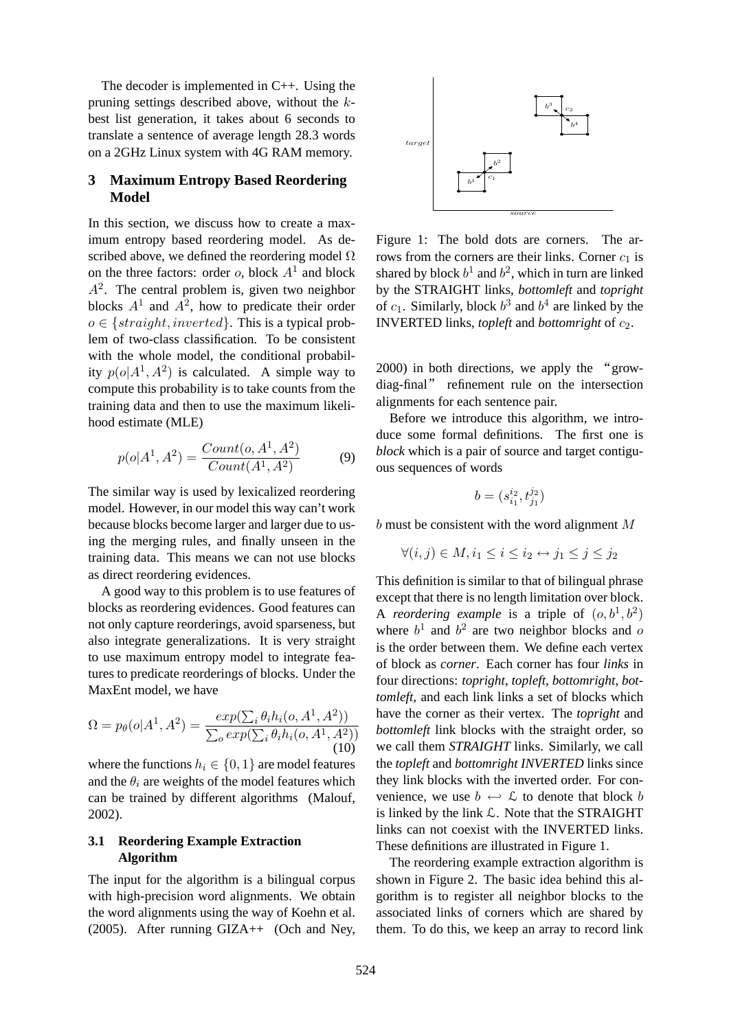The decoder is implemented in C++. Using the pruning settings described above, without the kbest list generation, it takes about 6 seconds to translate a sentence of average length 28.3 words on a 2GHz Linux system with 4G RAM memory.

# **3 Maximum Entropy Based Reordering Model**

In this section, we discuss how to create a maximum entropy based reordering model. As described above, we defined the reordering model  $\Omega$ on the three factors: order  $o$ , block  $A<sup>1</sup>$  and block  $A<sup>2</sup>$ . The central problem is, given two neighbor blocks  $A^1$  and  $A^2$ , how to predicate their order  $o \in \{straight, inverted\}$ . This is a typical problem of two-class classification. To be consistent with the whole model, the conditional probability  $p(o|A^1, A^2)$  is calculated. A simple way to compute this probability is to take counts from the training data and then to use the maximum likelihood estimate (MLE)

$$
p(o|A^1, A^2) = \frac{Count(o, A^1, A^2)}{Count(A^1, A^2)}
$$
(9)

The similar way is used by lexicalized reordering model. However, in our model this way can't work because blocks become larger and larger due to using the merging rules, and finally unseen in the training data. This means we can not use blocks as direct reordering evidences.

A good way to this problem is to use features of blocks as reordering evidences. Good features can not only capture reorderings, avoid sparseness, but also integrate generalizations. It is very straight to use maximum entropy model to integrate features to predicate reorderings of blocks. Under the MaxEnt model, we have

$$
\Omega = p_{\theta}(o|A^1, A^2) = \frac{exp(\sum_i \theta_i h_i(o, A^1, A^2))}{\sum_o exp(\sum_i \theta_i h_i(o, A^1, A^2))}
$$
\n(10)

where the functions  $h_i \in \{0, 1\}$  are model features and the  $\theta_i$  are weights of the model features which can be trained by different algorithms (Malouf, 2002).

## **3.1 Reordering Example Extraction Algorithm**

The input for the algorithm is a bilingual corpus with high-precision word alignments. We obtain the word alignments using the way of Koehn et al. (2005). After running GIZA++ (Och and Ney,



Figure 1: The bold dots are corners. The arrows from the corners are their links. Corner  $c_1$  is shared by block  $b^1$  and  $b^2$ , which in turn are linked by the STRAIGHT links, *bottomleft* and *topright* of  $c_1$ . Similarly, block  $b^3$  and  $b^4$  are linked by the INVERTED links, *topleft* and *bottomright* of c2.

2000) in both directions, we apply the "growdiag-final" refinement rule on the intersection alignments for each sentence pair.

Before we introduce this algorithm, we introduce some formal definitions. The first one is *block* which is a pair of source and target contiguous sequences of words

$$
b=(s_{i_1}^{i_2},t_{j_1}^{j_2})\,
$$

b must be consistent with the word alignment M

$$
\forall (i, j) \in M, i_1 \le i \le i_2 \leftrightarrow j_1 \le j \le j_2
$$

This definition is similar to that of bilingual phrase except that there is no length limitation over block. A *reordering example* is a triple of  $(o, b<sup>1</sup>, b<sup>2</sup>)$ where  $b^1$  and  $b^2$  are two neighbor blocks and o is the order between them. We define each vertex of block as *corner*. Each corner has four *links* in four directions: *topright*, *topleft*, *bottomright*, *bottomleft*, and each link links a set of blocks which have the corner as their vertex. The *topright* and *bottomleft* link blocks with the straight order, so we call them *STRAIGHT* links. Similarly, we call the *topleft* and *bottomright INVERTED* links since they link blocks with the inverted order. For convenience, we use  $b \leftrightarrow \mathcal{L}$  to denote that block b is linked by the link  $\mathcal{L}$ . Note that the STRAIGHT links can not coexist with the INVERTED links. These definitions are illustrated in Figure 1.

The reordering example extraction algorithm is shown in Figure 2. The basic idea behind this algorithm is to register all neighbor blocks to the associated links of corners which are shared by them. To do this, we keep an array to record link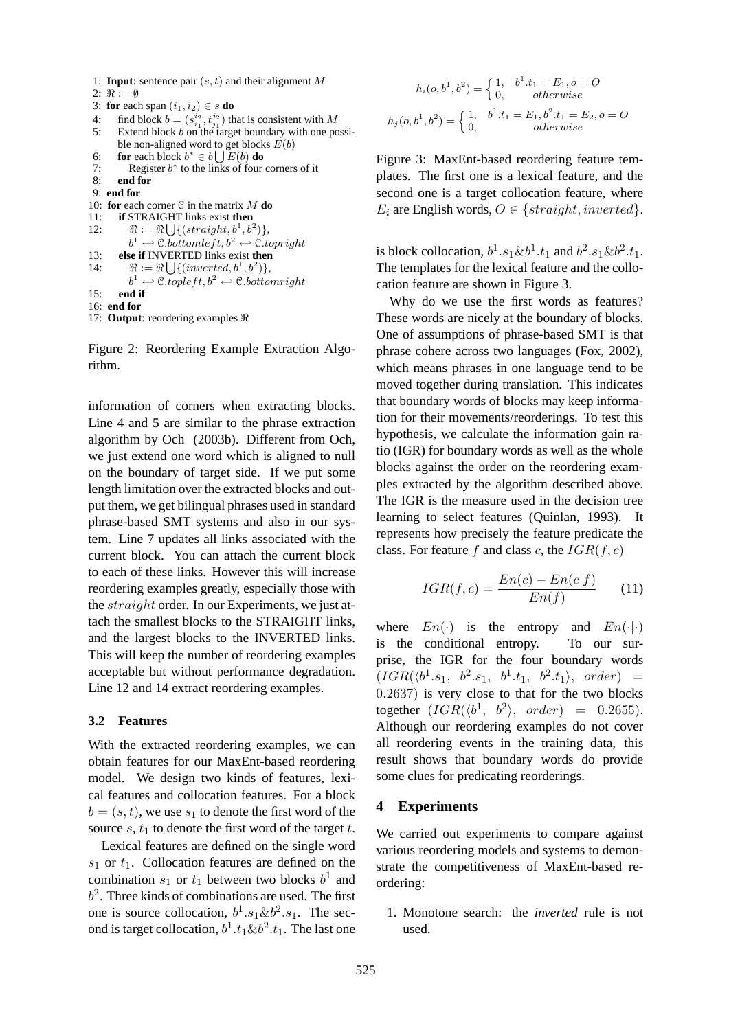- 1: **Input**: sentence pair  $(s, t)$  and their alignment M
- 2:  $\Re := \emptyset$
- 3: **for** each span  $(i_1, i_2) \in s$  **do**
- 4: find block  $b = (s_{i_1}^{i_2}, t_{j_1}^{j_2})$  that is consistent with M
- 5: Extend block b on the target boundary with one possible non-aligned word to get blocks  $E(b)$
- 6: **for** each block  $b^* \in b \cup E(b)$  **do**
- 7: Register  $b^*$  to the links of four corners of it
- 8: **end for** 9: **end for**
- 10: **for** each corner  $C$  in the matrix  $M$  **do**

```
11: if STRAIGHT links exist then
S
```

```
12: \Re := \Re \bigcup \{ (straight, b^1, b^2) \},\
```

```
b^1 \leftarrow \text{C}.bottomleft, b^2 \leftarrow \text{C}.topright
```

```
13: else if INVERTED links exist then
S
```

```
14: \Re := \Re \{ \} \{ \{ \text{inverted}, b^1, b^2) \},\}
```

```
b^1 \leftarrow \text{C.topleft}, b^2 \leftarrow \text{C.bottomright}15: end if
```
16: **end for**

```
17: Output: reordering examples \Re
```
Figure 2: Reordering Example Extraction Algorithm.

information of corners when extracting blocks. Line 4 and 5 are similar to the phrase extraction algorithm by Och (2003b). Different from Och, we just extend one word which is aligned to null on the boundary of target side. If we put some length limitation over the extracted blocks and output them, we get bilingual phrases used in standard phrase-based SMT systems and also in our system. Line 7 updates all links associated with the current block. You can attach the current block to each of these links. However this will increase reordering examples greatly, especially those with the straight order. In our Experiments, we just attach the smallest blocks to the STRAIGHT links, and the largest blocks to the INVERTED links. This will keep the number of reordering examples acceptable but without performance degradation. Line 12 and 14 extract reordering examples.

### **3.2 Features**

With the extracted reordering examples, we can obtain features for our MaxEnt-based reordering model. We design two kinds of features, lexical features and collocation features. For a block  $b = (s, t)$ , we use  $s_1$  to denote the first word of the source s,  $t_1$  to denote the first word of the target t.

Lexical features are defined on the single word  $s_1$  or  $t_1$ . Collocation features are defined on the combination  $s_1$  or  $t_1$  between two blocks  $b^1$  and  $b<sup>2</sup>$ . Three kinds of combinations are used. The first one is source collocation,  $b^1.s_1\&b^2.s_1$ . The second is target collocation,  $b^1.t_1 \& b^2.t_1$ . The last one

$$
h_i(o, b^1, b^2) = \begin{cases} 1, & b^1.t_1 = E_1, o = O \\ 0, & otherwise \end{cases}
$$
  

$$
h_j(o, b^1, b^2) = \begin{cases} 1, & b^1.t_1 = E_1, b^2.t_1 = E_2, o = O \\ 0, & otherwise \end{cases}
$$

Figure 3: MaxEnt-based reordering feature templates. The first one is a lexical feature, and the second one is a target collocation feature, where  $E_i$  are English words,  $O \in \{straight, inverted\}.$ 

is block collocation,  $b^1.s_1 \& b^1.t_1$  and  $b^2.s_1 \& b^2.t_1$ . The templates for the lexical feature and the collocation feature are shown in Figure 3.

Why do we use the first words as features? These words are nicely at the boundary of blocks. One of assumptions of phrase-based SMT is that phrase cohere across two languages (Fox, 2002), which means phrases in one language tend to be moved together during translation. This indicates that boundary words of blocks may keep information for their movements/reorderings. To test this hypothesis, we calculate the information gain ratio (IGR) for boundary words as well as the whole blocks against the order on the reordering examples extracted by the algorithm described above. The IGR is the measure used in the decision tree learning to select features (Quinlan, 1993). It represents how precisely the feature predicate the class. For feature f and class c, the  $IGR(f, c)$ 

$$
IGR(f, c) = \frac{En(c) - En(c|f)}{En(f)} \tag{11}
$$

where  $En(\cdot)$  is the entropy and  $En(\cdot|\cdot)$ is the conditional entropy. To our surprise, the IGR for the four boundary words  $(IGR(\langle b^1.s_1, b^2.s_1, b^1.t_1, b^2.t_1 \rangle, order) =$ 0.2637) is very close to that for the two blocks together  $(IGR(\langle b^1, b^2 \rangle, order) = 0.2655)$ . Although our reordering examples do not cover all reordering events in the training data, this result shows that boundary words do provide some clues for predicating reorderings.

#### **4 Experiments**

We carried out experiments to compare against various reordering models and systems to demonstrate the competitiveness of MaxEnt-based reordering:

1. Monotone search: the *inverted* rule is not used.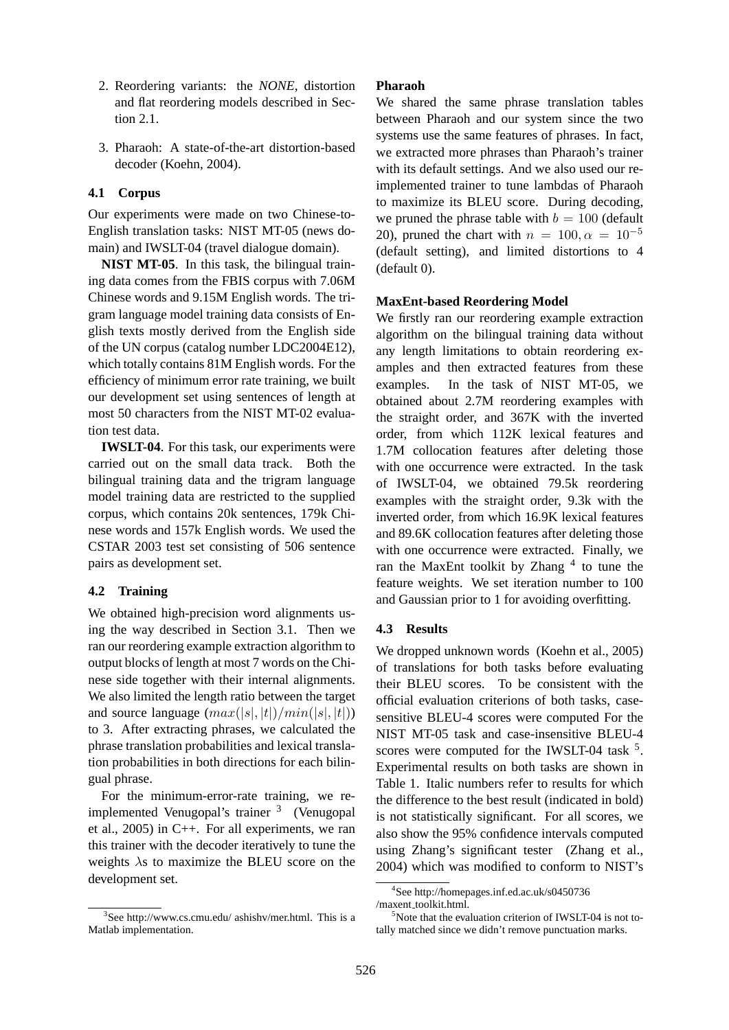- 2. Reordering variants: the *NONE*, distortion and flat reordering models described in Section 2.1.
- 3. Pharaoh: A state-of-the-art distortion-based decoder (Koehn, 2004).

### **4.1 Corpus**

Our experiments were made on two Chinese-to-English translation tasks: NIST MT-05 (news domain) and IWSLT-04 (travel dialogue domain).

**NIST MT-05**. In this task, the bilingual training data comes from the FBIS corpus with 7.06M Chinese words and 9.15M English words. The trigram language model training data consists of English texts mostly derived from the English side of the UN corpus (catalog number LDC2004E12), which totally contains 81M English words. For the efficiency of minimum error rate training, we built our development set using sentences of length at most 50 characters from the NIST MT-02 evaluation test data.

**IWSLT-04**. For this task, our experiments were carried out on the small data track. Both the bilingual training data and the trigram language model training data are restricted to the supplied corpus, which contains 20k sentences, 179k Chinese words and 157k English words. We used the CSTAR 2003 test set consisting of 506 sentence pairs as development set.

## **4.2 Training**

We obtained high-precision word alignments using the way described in Section 3.1. Then we ran our reordering example extraction algorithm to output blocks of length at most 7 words on the Chinese side together with their internal alignments. We also limited the length ratio between the target and source language  $(max(|s|, |t|)/min(|s|, |t|))$ to 3. After extracting phrases, we calculated the phrase translation probabilities and lexical translation probabilities in both directions for each bilingual phrase.

For the minimum-error-rate training, we reimplemented Venugopal's trainer <sup>3</sup> (Venugopal et al., 2005) in C++. For all experiments, we ran this trainer with the decoder iteratively to tune the weights  $\lambda$ s to maximize the BLEU score on the development set.

### **Pharaoh**

We shared the same phrase translation tables between Pharaoh and our system since the two systems use the same features of phrases. In fact, we extracted more phrases than Pharaoh's trainer with its default settings. And we also used our reimplemented trainer to tune lambdas of Pharaoh to maximize its BLEU score. During decoding, we pruned the phrase table with  $b = 100$  (default 20), pruned the chart with  $n = 100, \alpha = 10^{-5}$ (default setting), and limited distortions to 4 (default 0).

#### **MaxEnt-based Reordering Model**

We firstly ran our reordering example extraction algorithm on the bilingual training data without any length limitations to obtain reordering examples and then extracted features from these examples. In the task of NIST MT-05, we obtained about 2.7M reordering examples with the straight order, and 367K with the inverted order, from which 112K lexical features and 1.7M collocation features after deleting those with one occurrence were extracted. In the task of IWSLT-04, we obtained 79.5k reordering examples with the straight order, 9.3k with the inverted order, from which 16.9K lexical features and 89.6K collocation features after deleting those with one occurrence were extracted. Finally, we ran the MaxEnt toolkit by Zhang  $<sup>4</sup>$  to tune the</sup> feature weights. We set iteration number to 100 and Gaussian prior to 1 for avoiding overfitting.

### **4.3 Results**

We dropped unknown words (Koehn et al., 2005) of translations for both tasks before evaluating their BLEU scores. To be consistent with the official evaluation criterions of both tasks, casesensitive BLEU-4 scores were computed For the NIST MT-05 task and case-insensitive BLEU-4 scores were computed for the IWSLT-04 task <sup>5</sup>. Experimental results on both tasks are shown in Table 1. Italic numbers refer to results for which the difference to the best result (indicated in bold) is not statistically significant. For all scores, we also show the 95% confidence intervals computed using Zhang's significant tester (Zhang et al., 2004) which was modified to conform to NIST's

<sup>3</sup> See http://www.cs.cmu.edu/ ashishv/mer.html. This is a Matlab implementation.

<sup>4</sup> See http://homepages.inf.ed.ac.uk/s0450736 /maxent toolkit.html.

 $5$ Note that the evaluation criterion of IWSLT-04 is not totally matched since we didn't remove punctuation marks.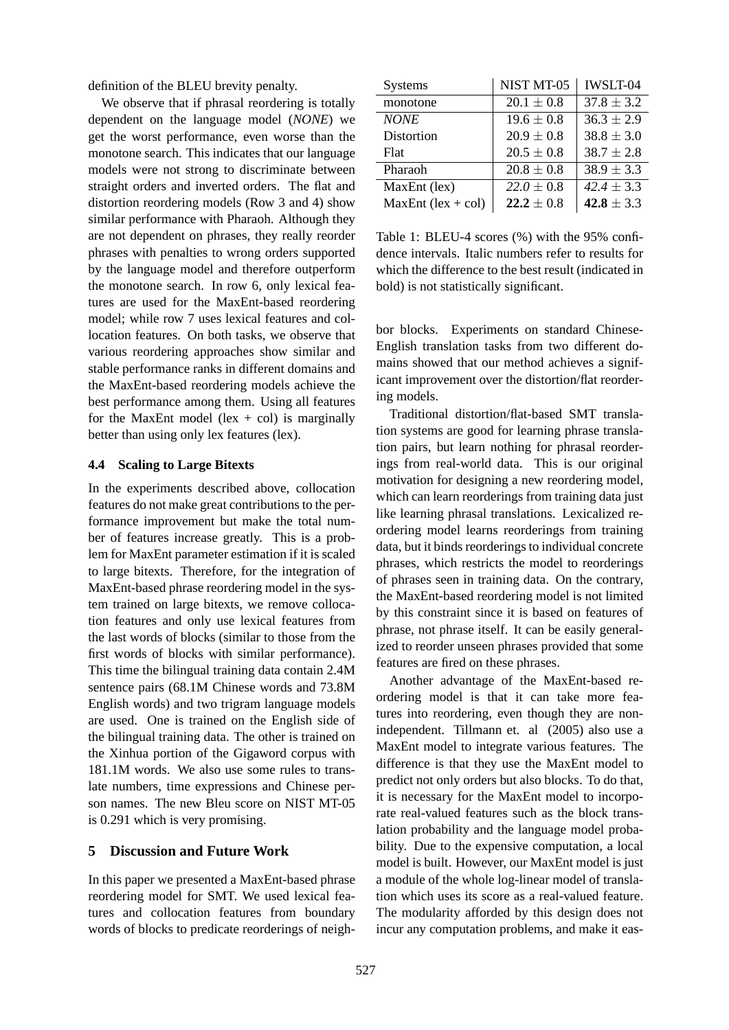definition of the BLEU brevity penalty.

We observe that if phrasal reordering is totally dependent on the language model (*NONE*) we get the worst performance, even worse than the monotone search. This indicates that our language models were not strong to discriminate between straight orders and inverted orders. The flat and distortion reordering models (Row 3 and 4) show similar performance with Pharaoh. Although they are not dependent on phrases, they really reorder phrases with penalties to wrong orders supported by the language model and therefore outperform the monotone search. In row 6, only lexical features are used for the MaxEnt-based reordering model; while row 7 uses lexical features and collocation features. On both tasks, we observe that various reordering approaches show similar and stable performance ranks in different domains and the MaxEnt-based reordering models achieve the best performance among them. Using all features for the MaxEnt model (lex  $+$  col) is marginally better than using only lex features (lex).

#### **4.4 Scaling to Large Bitexts**

In the experiments described above, collocation features do not make great contributions to the performance improvement but make the total number of features increase greatly. This is a problem for MaxEnt parameter estimation if it is scaled to large bitexts. Therefore, for the integration of MaxEnt-based phrase reordering model in the system trained on large bitexts, we remove collocation features and only use lexical features from the last words of blocks (similar to those from the first words of blocks with similar performance). This time the bilingual training data contain 2.4M sentence pairs (68.1M Chinese words and 73.8M English words) and two trigram language models are used. One is trained on the English side of the bilingual training data. The other is trained on the Xinhua portion of the Gigaword corpus with 181.1M words. We also use some rules to translate numbers, time expressions and Chinese person names. The new Bleu score on NIST MT-05 is 0.291 which is very promising.

#### **5 Discussion and Future Work**

In this paper we presented a MaxEnt-based phrase reordering model for SMT. We used lexical features and collocation features from boundary words of blocks to predicate reorderings of neigh-

| <b>Systems</b>       | NIST MT-05     | <b>IWSLT-04</b> |
|----------------------|----------------|-----------------|
| monotone             | $20.1 \pm 0.8$ | $37.8 \pm 3.2$  |
| <b>NONE</b>          | $19.6 \pm 0.8$ | $36.3 \pm 2.9$  |
| Distortion           | $20.9 \pm 0.8$ | $38.8 \pm 3.0$  |
| Flat                 | $20.5 \pm 0.8$ | $38.7 \pm 2.8$  |
| Pharaoh              | $20.8 \pm 0.8$ | $38.9 \pm 3.3$  |
| MaxEnt (lex)         | $22.0 \pm 0.8$ | $42.4 \pm 3.3$  |
| $MaxEnt$ (lex + col) | $22.2 \pm 0.8$ | 42.8 $\pm$ 3.3  |

Table 1: BLEU-4 scores (%) with the 95% confidence intervals. Italic numbers refer to results for which the difference to the best result (indicated in bold) is not statistically significant.

bor blocks. Experiments on standard Chinese-English translation tasks from two different domains showed that our method achieves a significant improvement over the distortion/flat reordering models.

Traditional distortion/flat-based SMT translation systems are good for learning phrase translation pairs, but learn nothing for phrasal reorderings from real-world data. This is our original motivation for designing a new reordering model, which can learn reorderings from training data just like learning phrasal translations. Lexicalized reordering model learns reorderings from training data, but it binds reorderings to individual concrete phrases, which restricts the model to reorderings of phrases seen in training data. On the contrary, the MaxEnt-based reordering model is not limited by this constraint since it is based on features of phrase, not phrase itself. It can be easily generalized to reorder unseen phrases provided that some features are fired on these phrases.

Another advantage of the MaxEnt-based reordering model is that it can take more features into reordering, even though they are nonindependent. Tillmann et. al (2005) also use a MaxEnt model to integrate various features. The difference is that they use the MaxEnt model to predict not only orders but also blocks. To do that, it is necessary for the MaxEnt model to incorporate real-valued features such as the block translation probability and the language model probability. Due to the expensive computation, a local model is built. However, our MaxEnt model is just a module of the whole log-linear model of translation which uses its score as a real-valued feature. The modularity afforded by this design does not incur any computation problems, and make it eas